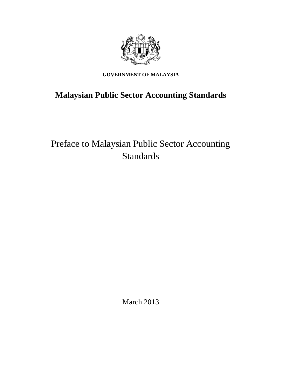

## **GOVERNMENT OF MALAYSIA**

# **Malaysian Public Sector Accounting Standards**

# Preface to Malaysian Public Sector Accounting Standards

March 2013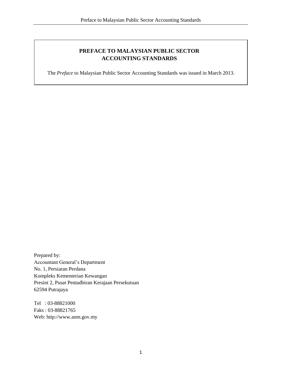### **PREFACE TO MALAYSIAN PUBLIC SECTOR ACCOUNTING STANDARDS**

The *Preface* to Malaysian Public Sector Accounting Standards was issued in March 2013.

Prepared by: Accountant General's Department No. 1, Persiaran Perdana Kompleks Kementerian Kewangan Presint 2, Pusat Pentadbiran Kerajaan Persekutuan 62594 Putrajaya

Tel : 03-88821000 Faks : 03-88821765 Web: http://www.anm.gov.my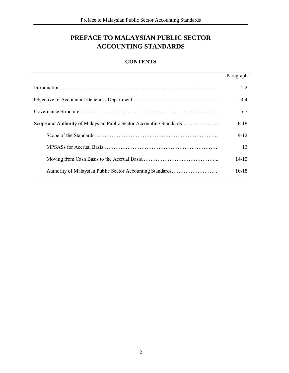# **PREFACE TO MALAYSIAN PUBLIC SECTOR ACCOUNTING STANDARDS**

### **CONTENTS**

| Paragraph |
|-----------|
| $1-2$     |
| $3-4$     |
| $5 - 7$   |
| $8-18$    |
| $9 - 12$  |
| 13        |
| 14-15     |
| $16-18$   |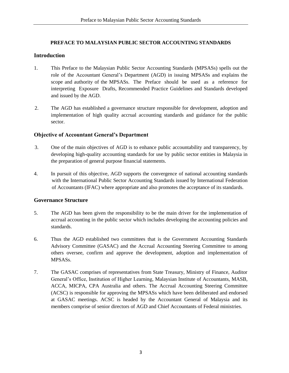#### **PREFACE TO MALAYSIAN PUBLIC SECTOR ACCOUNTING STANDARDS**

#### **Introduction**

- 1. This Preface to the Malaysian Public Sector Accounting Standards (MPSASs) spells out the role of the Accountant General's Department (AGD) in issuing MPSASs and explains the scope and authority of the MPSASs. The Preface should be used as a reference for interpreting Exposure Drafts, Recommended Practice Guidelines and Standards developed and issued by the AGD.
- 2. The AGD has established a governance structure responsible for development, adoption and implementation of high quality accrual accounting standards and guidance for the public sector.

#### **Objective of Accountant General's Department**

- 3. One of the main objectives of AGD is to enhance public accountability and transparency, by developing high-quality accounting standards for use by public sector entities in Malaysia in the preparation of general purpose financial statements.
- 4. In pursuit of this objective, AGD supports the convergence of national accounting standards with the International Public Sector Accounting Standards issued by International Federation of Accountants (IFAC) where appropriate and also promotes the acceptance of its standards.

#### **Governance Structure**

- 5. The AGD has been given the responsibility to be the main driver for the implementation of accrual accounting in the public sector which includes developing the accounting policies and standards.
- 6. Thus the AGD established two committees that is the Government Accounting Standards Advisory Committee (GASAC) and the Accrual Accounting Steering Committee to among others oversee, confirm and approve the development, adoption and implementation of MPSASs.
- 7. The GASAC comprises of representatives from State Treasury, Ministry of Finance, Auditor General's Office, Institution of Higher Learning, Malaysian Institute of Accountants, MASB, ACCA, MICPA, CPA Australia and others. The Accrual Accounting Steering Committee (ACSC) is responsible for approving the MPSASs which have been deliberated and endorsed at GASAC meetings. ACSC is headed by the Accountant General of Malaysia and its members comprise of senior directors of AGD and Chief Accountants of Federal ministries.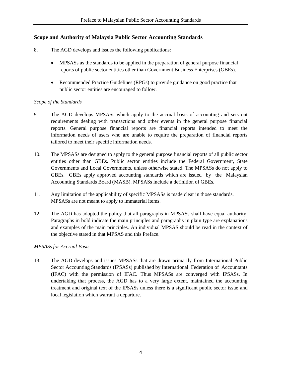#### **Scope and Authority of Malaysia Public Sector Accounting Standards**

- 8. The AGD develops and issues the following publications:
	- MPSASs as the standards to be applied in the preparation of general purpose financial reports of public sector entities other than Government Business Enterprises (GBEs).
	- Recommended Practice Guidelines (RPGs) to provide guidance on good practice that public sector entities are encouraged to follow.

#### *Scope of the Standards*

- 9. The AGD develops MPSASs which apply to the accrual basis of accounting and sets out requirements dealing with transactions and other events in the general purpose financial reports. General purpose financial reports are financial reports intended to meet the information needs of users who are unable to require the preparation of financial reports tailored to meet their specific information needs.
- 10. The MPSASs are designed to apply to the general purpose financial reports of all public sector entities other than GBEs. Public sector entities include the Federal Government, State Governments and Local Governments, unless otherwise stated. The MPSASs do not apply to GBEs. GBEs apply approved accounting standards which are issued by the Malaysian Accounting Standards Board (MASB). MPSASs include a definition of GBEs.
- 11. Any limitation of the applicability of specific MPSASs is made clear in those standards. MPSASs are not meant to apply to immaterial items.
- 12. The AGD has adopted the policy that all paragraphs in MPSASs shall have equal authority. Paragraphs in bold indicate the main principles and paragraphs in plain type are explanations and examples of the main principles. An individual MPSAS should be read in the context of the objective stated in that MPSAS and this Preface.

#### *MPSASs for Accrual Basis*

13. The AGD develops and issues MPSASs that are drawn primarily from International Public Sector Accounting Standards (IPSASs) published by International Federation of Accountants (IFAC) with the permission of IFAC. Thus MPSASs are converged with IPSASs. In undertaking that process, the AGD has to a very large extent, maintained the accounting treatment and original text of the IPSASs unless there is a significant public sector issue and local legislation which warrant a departure.